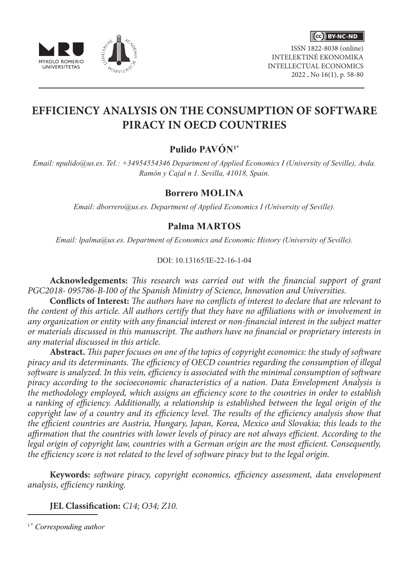





ISSN 1822-8038 (online) INTELEKTINĖ EKONOMIKA INTELLECTUAL ECONOMICS 2022 , No 16(1), p. 58-80

# **EFFICIENCY ANALYSIS ON THE CONSUMPTION OF SOFTWARE PIRACY IN OECD COUNTRIES**

## **Pulido PAVÓN1**\*

*Email: npulido@us.es. Tel.: +34954554346 Department of Applied Economics I (University of Seville), Avda. Ramón y Cajal n 1. Sevilla, 41018, Spain.*

### **Borrero MOLINA**

*Email: dborrero@us.es. Department of Applied Economics I (University of Seville).*

### **Palma MARTOS**

*Email: lpalma@us.es. Department of Economics and Economic History (University of Seville).*

### DOI: 10.13165/IE-22-16-1-04

**Acknowledgements:** *This research was carried out with the financial support of grant PGC2018- 095786-B-I00 of the Spanish Ministry of Science, Innovation and Universities.*

**Conflicts of Interest:** *The authors have no conflicts of interest to declare that are relevant to the content of this article. All authors certify that they have no affiliations with or involvement in any organization or entity with any financial interest or non-financial interest in the subject matter or materials discussed in this manuscript. The authors have no financial or proprietary interests in any material discussed in this article.*

**Abstract.** *This paper focuses on one of the topics of copyright economics: the study of software piracy and its determinants. The efficiency of OECD countries regarding the consumption of illegal software is analyzed. In this vein, efficiency is associated with the minimal consumption of software piracy according to the socioeconomic characteristics of a nation. Data Envelopment Analysis is the methodology employed, which assigns an efficiency score to the countries in order to establish a ranking of efficiency. Additionally, a relationship is established between the legal origin of the copyright law of a country and its efficiency level. The results of the efficiency analysis show that the efficient countries are Austria, Hungary, Japan, Korea, Mexico and Slovakia; this leads to the affirmation that the countries with lower levels of piracy are not always efficient. According to the legal origin of copyright law, countries with a German origin are the most efficient. Consequently, the efficiency score is not related to the level of software piracy but to the legal origin.*

**Keywords:** *software piracy, copyright economics, efficiency assessment, data envelopment analysis, efficiency ranking.*

**JEL Classification:** *C14; O34; Z10.*

<sup>1</sup>\* *Corresponding author*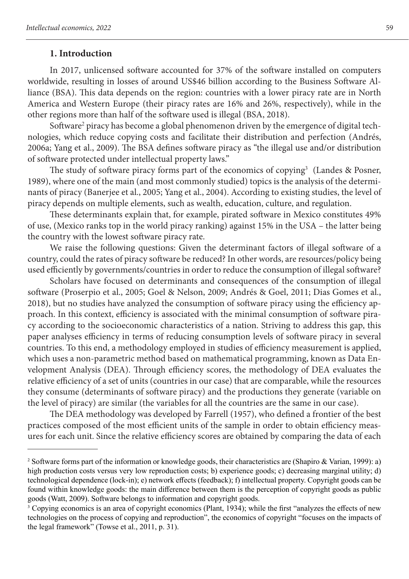### **1. Introduction**

In 2017, unlicensed software accounted for 37% of the software installed on computers worldwide, resulting in losses of around US\$46 billion according to the Business Software Alliance (BSA). This data depends on the region: countries with a lower piracy rate are in North America and Western Europe (their piracy rates are 16% and 26%, respectively), while in the other regions more than half of the software used is illegal (BSA, 2018).

Software<sup>2</sup> piracy has become a global phenomenon driven by the emergence of digital technologies, which reduce copying costs and facilitate their distribution and perfection (Andrés, 2006a; Yang et al., 2009). The BSA defines software piracy as "the illegal use and/or distribution of software protected under intellectual property laws."

The study of software piracy forms part of the economics of copying<sup>3</sup> (Landes & Posner, 1989), where one of the main (and most commonly studied) topics is the analysis of the determinants of piracy (Banerjee et al., 2005; Yang et al., 2004). According to existing studies, the level of piracy depends on multiple elements, such as wealth, education, culture, and regulation.

These determinants explain that, for example, pirated software in Mexico constitutes 49% of use, (Mexico ranks top in the world piracy ranking) against 15% in the USA – the latter being the country with the lowest software piracy rate.

We raise the following questions: Given the determinant factors of illegal software of a country, could the rates of piracy software be reduced? In other words, are resources/policy being used efficiently by governments/countries in order to reduce the consumption of illegal software?

Scholars have focused on determinants and consequences of the consumption of illegal software (Proserpio et al., 2005; Goel & Nelson, 2009; Andrés & Goel, 2011; Dias Gomes et al., 2018), but no studies have analyzed the consumption of software piracy using the efficiency approach. In this context, efficiency is associated with the minimal consumption of software piracy according to the socioeconomic characteristics of a nation. Striving to address this gap, this paper analyses efficiency in terms of reducing consumption levels of software piracy in several countries. To this end, a methodology employed in studies of efficiency measurement is applied, which uses a non-parametric method based on mathematical programming, known as Data Envelopment Analysis (DEA). Through efficiency scores, the methodology of DEA evaluates the relative efficiency of a set of units (countries in our case) that are comparable, while the resources they consume (determinants of software piracy) and the productions they generate (variable on the level of piracy) are similar (the variables for all the countries are the same in our case).

The DEA methodology was developed by Farrell (1957), who defined a frontier of the best practices composed of the most efficient units of the sample in order to obtain efficiency measures for each unit. Since the relative efficiency scores are obtained by comparing the data of each

<sup>&</sup>lt;sup>2</sup> Software forms part of the information or knowledge goods, their characteristics are (Shapiro & Varian, 1999): a) high production costs versus very low reproduction costs; b) experience goods; c) decreasing marginal utility; d) technological dependence (lock-in); e) network effects (feedback); f) intellectual property. Copyright goods can be found within knowledge goods: the main difference between them is the perception of copyright goods as public goods (Watt, 2009). Software belongs to information and copyright goods.

<sup>&</sup>lt;sup>3</sup> Copying economics is an area of copyright economics (Plant, 1934); while the first "analyzes the effects of new technologies on the process of copying and reproduction", the economics of copyright "focuses on the impacts of the legal framework" (Towse et al., 2011, p. 31).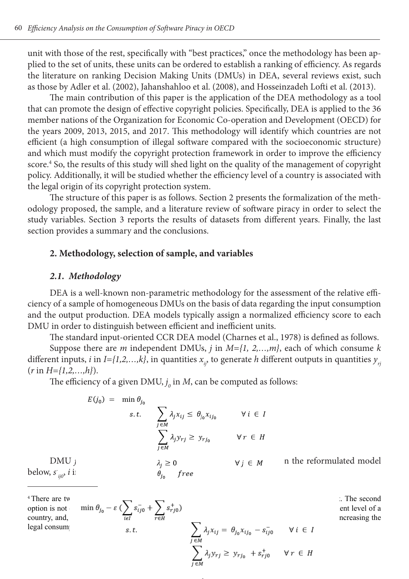unit with those of the rest, specifically with "best practices," once the methodology has been applied to the set of units, these units can be ordered to establish a ranking of efficiency. As regards the literature on ranking Decision Making Units (DMUs) in DEA, several reviews exist, such as those by Adler et al. (2002), Jahanshahloo et al. (2008), and Hosseinzadeh Lofti et al. (2013).

The main contribution of this paper is the application of the DEA methodology as a tool that can promote the design of effective copyright policies. Specifically, DEA is applied to the 36 member nations of the Organization for Economic Co-operation and Development (OECD) for the years 2009, 2013, 2015, and 2017. This methodology will identify which countries are not efficient (a high consumption of illegal software compared with the socioeconomic structure) and which must modify the copyright protection framework in order to improve the efficiency score.<sup>4</sup> So, the results of this study will shed light on the quality of the management of copyright policy. Additionally, it will be studied whether the efficiency level of a country is associated with the legal origin of its copyright protection system.

The structure of this paper is as follows. Section 2 presents the formalization of the methodology proposed, the sample, and a literature review of software piracy in order to select the study variables. Section 3 reports the results of datasets from different years. Finally, the last section provides a summary and the conclusions.

#### **2. Methodology, selection of sample, and variables**

#### *2.1. Methodology*

legal consumption of  $s \, t$ 

DEA is a well-known non-parametric methodology for the assessment of the relative efficiency of a sample of homogeneous DMUs on the basis of data regarding the input consumption and the output production. DEA models typically assign a normalized efficiency score to each DMU in order to distinguish between efficient and inefficient units.

The standard input-oriented CCR DEA model (Charnes et al., 1978) is defined as follows.

Suppose there are *m* independent DMUs, *j* in *M={1, 2,…,m}*, each of which consume *k* different inputs, *i* in *I*={1,2,...,k}, in quantities  $x_{i,j}$  to generate *h* different outputs in quantities  $y_{i,j}$ (*r* in *H={1,2,…,h}*).

The efficiency of a given DMU,  $j_{\scriptscriptstyle 0}$  in *M*, can be computed as follows:

$$
E(j_0) = \min \theta_{j_0}
$$
\ns.t. 
$$
\sum_{j \in M} \lambda_j x_{ij} \le \theta_{j_0} x_{ij_0} \qquad \forall i \in I
$$
\n
$$
\sum_{j \in M} \lambda_j y_{rj} \ge y_{rj_0} \qquad \forall r \in H
$$
\nDMU

\n0.100, 
$$
\sum_{j \in M} \lambda_j y_{rj} \ge y_{rj_0} \qquad \forall j \in M \qquad \text{n the reformulated model}
$$
\n
$$
\theta_{j_0} \qquad \text{free}
$$

 $4$ There are two ways to improve effects to improve effects the output and or reducing the input and or reducing the input and  $\sum_{n=1}^{\infty}$ option is not considered in the inputs used are positively linked in the inputs used of a considered to the development level of a

country, and,

\n
$$
\overline{teI} \qquad \overline{reH} \qquad \sum_{j \in M} \lambda_j x_{ij} = \theta_{j_0} x_{ij_0} - s_{ij_0} \qquad \forall i \in I
$$
\nhereasing the

\n
$$
\sum_{j \in M} \lambda_j y_{rj} \geq \theta_{j_0} x_{ij_0} - s_{ij_0} \qquad \forall r \in H
$$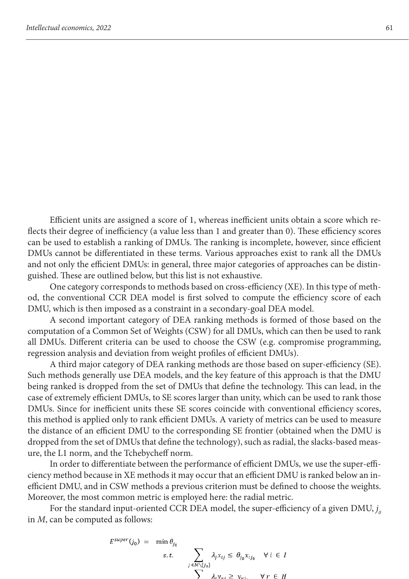Efficient units are assigned a score of 1, whereas inefficient units obtain a score which reflects their degree of inefficiency (a value less than 1 and greater than 0). These efficiency scores can be used to establish a ranking of DMUs. The ranking is incomplete, however, since efficient DMUs cannot be differentiated in these terms. Various approaches exist to rank all the DMUs and not only the efficient DMUs: in general, three major categories of approaches can be distinguished. These are outlined below, but this list is not exhaustive.

One category corresponds to methods based on cross-efficiency (XE). In this type of method, the conventional CCR DEA model is first solved to compute the efficiency score of each DMU, which is then imposed as a constraint in a secondary-goal DEA model.

A second important category of DEA ranking methods is formed of those based on the computation of a Common Set of Weights (CSW) for all DMUs, which can then be used to rank all DMUs. Different criteria can be used to choose the CSW (e.g. compromise programming, regression analysis and deviation from weight profiles of efficient DMUs).

A third major category of DEA ranking methods are those based on super-efficiency (SE). Such methods generally use DEA models, and the key feature of this approach is that the DMU being ranked is dropped from the set of DMUs that define the technology. This can lead, in the case of extremely efficient DMUs, to SE scores larger than unity, which can be used to rank those DMUs. Since for inefficient units these SE scores coincide with conventional efficiency scores, this method is applied only to rank efficient DMUs. A variety of metrics can be used to measure the distance of an efficient DMU to the corresponding SE frontier (obtained when the DMU is dropped from the set of DMUs that define the technology), such as radial, the slacks-based measure, the L1 norm, and the Tchebycheff norm.

In order to differentiate between the performance of efficient DMUs, we use the super-efficiency method because in XE methods it may occur that an efficient DMU is ranked below an inefficient DMU, and in CSW methods a previous criterion must be defined to choose the weights. Moreover, the most common metric is employed here: the radial metric.

For the standard input-oriented CCR DEA model, the super-efficiency of a given DMU,  $j_c$ in *M*, can be computed as follows:

$$
E^{super}(j_0) = \min \theta_{j_0}
$$
  
s.t. 
$$
\sum_{j \in M \setminus \{j_0\}} \lambda_j x_{ij} \le \theta_{j_0} x_{ij_0} \quad \forall i \in I
$$

$$
\sum_{j \in M \setminus \{j_0\}} \lambda_j x_{ij} \ge \theta_{j_0} x_{ij}
$$

$$
\forall j \in H
$$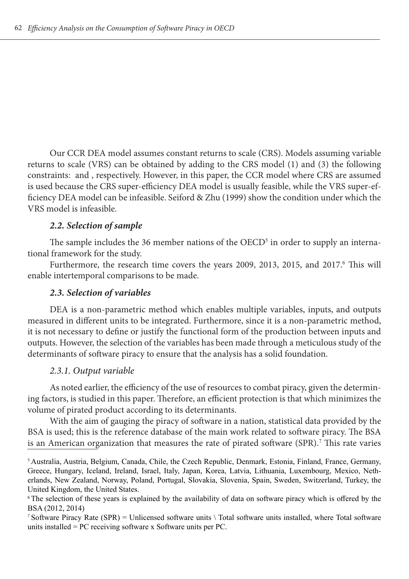Our CCR DEA model assumes constant returns to scale (CRS). Models assuming variable returns to scale (VRS) can be obtained by adding to the CRS model (1) and (3) the following constraints: and , respectively. However, in this paper, the CCR model where CRS are assumed is used because the CRS super-efficiency DEA model is usually feasible, while the VRS super-efficiency DEA model can be infeasible. Seiford & Zhu (1999) show the condition under which the VRS model is infeasible.

### *2.2. Selection of sample*

The sample includes the 36 member nations of the  ${{\rm OECD}}^{\rm s}$  in order to supply an international framework for the study.

Furthermore, the research time covers the years 2009, 2013, 2015, and 2017.<sup>6</sup> This will enable intertemporal comparisons to be made.

### *2.3. Selection of variables*

DEA is a non-parametric method which enables multiple variables, inputs, and outputs measured in different units to be integrated. Furthermore, since it is a non-parametric method, it is not necessary to define or justify the functional form of the production between inputs and outputs. However, the selection of the variables has been made through a meticulous study of the determinants of software piracy to ensure that the analysis has a solid foundation.

#### *2.3.1. Output variable*

As noted earlier, the efficiency of the use of resources to combat piracy, given the determining factors, is studied in this paper. Therefore, an efficient protection is that which minimizes the volume of pirated product according to its determinants.

With the aim of gauging the piracy of software in a nation, statistical data provided by the BSA is used; this is the reference database of the main work related to software piracy. The BSA is an American organization that measures the rate of pirated software (SPR).<sup>7</sup> This rate varies

<sup>5</sup>Australia, Austria, Belgium, Canada, Chile, the Czech Republic, Denmark, Estonia, Finland, France, Germany, Greece, Hungary, Iceland, Ireland, Israel, Italy, Japan, Korea, Latvia, Lithuania, Luxembourg, Mexico, Netherlands, New Zealand, Norway, Poland, Portugal, Slovakia, Slovenia, Spain, Sweden, Switzerland, Turkey, the United Kingdom, the United States.

<sup>&</sup>lt;sup>6</sup>The selection of these years is explained by the availability of data on software piracy which is offered by the BSA (2012, 2014)

<sup>7</sup>Software Piracy Rate (SPR) = Unlicensed software units \ Total software units installed, where Total software units installed = PC receiving software x Software units per PC.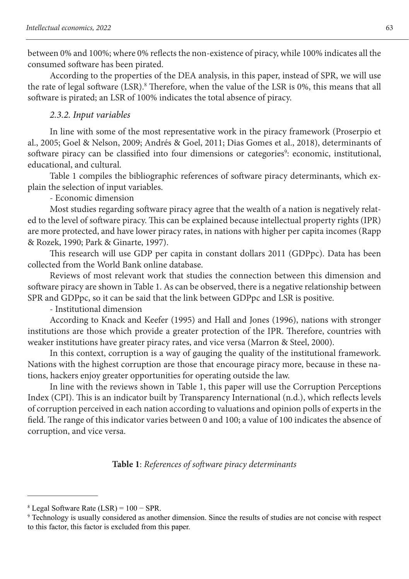between 0% and 100%; where 0% reflects the non-existence of piracy, while 100% indicates all the consumed software has been pirated.

According to the properties of the DEA analysis, in this paper, instead of SPR, we will use the rate of legal software (LSR).<sup>8</sup> Therefore, when the value of the LSR is 0%, this means that all software is pirated; an LSR of 100% indicates the total absence of piracy.

### *2.3.2. Input variables*

In line with some of the most representative work in the piracy framework (Proserpio et al., 2005; Goel & Nelson, 2009; Andrés & Goel, 2011; Dias Gomes et al., 2018), determinants of software piracy can be classified into four dimensions or categories<sup>9</sup>: economic, institutional, educational, and cultural.

Table 1 compiles the bibliographic references of software piracy determinants, which explain the selection of input variables.

- Economic dimension

Most studies regarding software piracy agree that the wealth of a nation is negatively related to the level of software piracy. This can be explained because intellectual property rights (IPR) are more protected, and have lower piracy rates, in nations with higher per capita incomes (Rapp & Rozek, 1990; Park & Ginarte, 1997).

This research will use GDP per capita in constant dollars 2011 (GDPpc). Data has been collected from the World Bank online database.

Reviews of most relevant work that studies the connection between this dimension and software piracy are shown in Table 1. As can be observed, there is a negative relationship between SPR and GDPpc, so it can be said that the link between GDPpc and LSR is positive.

- Institutional dimension

According to Knack and Keefer (1995) and Hall and Jones (1996), nations with stronger institutions are those which provide a greater protection of the IPR. Therefore, countries with weaker institutions have greater piracy rates, and vice versa (Marron & Steel, 2000).

In this context, corruption is a way of gauging the quality of the institutional framework. Nations with the highest corruption are those that encourage piracy more, because in these nations, hackers enjoy greater opportunities for operating outside the law.

In line with the reviews shown in Table 1, this paper will use the Corruption Perceptions Index (CPI). This is an indicator built by Transparency International (n.d.), which reflects levels of corruption perceived in each nation according to valuations and opinion polls of experts in the field. The range of this indicator varies between 0 and 100; a value of 100 indicates the absence of corruption, and vice versa.

**Table 1**: *References of software piracy determinants*

<sup>8</sup>Legal Software Rate (LSR) = 100 − SPR.

<sup>9</sup>Technology is usually considered as another dimension. Since the results of studies are not concise with respect to this factor, this factor is excluded from this paper.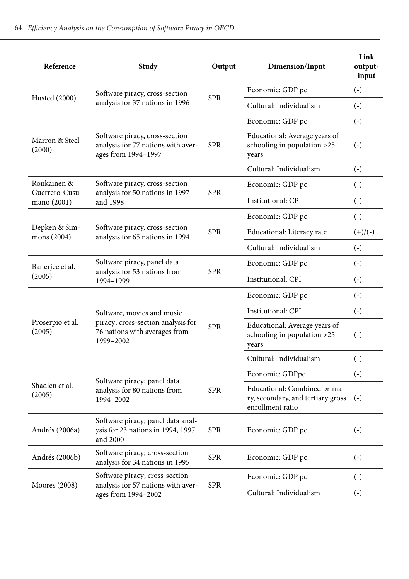| Reference                     | Study                                                                                       | Output     | Dimension/Input                                                                       | Link<br>output-<br>input |
|-------------------------------|---------------------------------------------------------------------------------------------|------------|---------------------------------------------------------------------------------------|--------------------------|
|                               | Software piracy, cross-section                                                              | <b>SPR</b> | Economic: GDP pc                                                                      | $(-)$                    |
| Husted (2000)                 | analysis for 37 nations in 1996                                                             |            | Cultural: Individualism                                                               | $(-)$                    |
|                               |                                                                                             |            | Economic: GDP pc                                                                      | $(-)$                    |
| Marron & Steel<br>(2000)      | Software piracy, cross-section<br>analysis for 77 nations with aver-<br>ages from 1994-1997 | <b>SPR</b> | Educational: Average years of<br>schooling in population >25<br>years                 | $(-)$                    |
|                               |                                                                                             |            | Cultural: Individualism                                                               | $(-)$                    |
| Ronkainen &                   | Software piracy, cross-section                                                              | <b>SPR</b> | Economic: GDP pc                                                                      | $(-)$                    |
| Guerrero-Cusu-<br>mano (2001) | analysis for 50 nations in 1997<br>and 1998                                                 |            | Institutional: CPI                                                                    | $(-)$                    |
|                               |                                                                                             |            | Economic: GDP pc                                                                      | $\left( -\right)$        |
| Depken & Sim-<br>mons (2004)  | Software piracy, cross-section<br>analysis for 65 nations in 1994                           | <b>SPR</b> | Educational: Literacy rate                                                            | $(+)/(-)$                |
|                               |                                                                                             |            | Cultural: Individualism                                                               | $\left( -\right)$        |
| Banerjee et al.<br>(2005)     | Software piracy, panel data<br>analysis for 53 nations from                                 | <b>SPR</b> | Economic: GDP pc                                                                      | $\left( -\right)$        |
|                               | 1994-1999                                                                                   |            | Institutional: CPI                                                                    | $(-)$                    |
|                               |                                                                                             |            | Economic: GDP pc                                                                      | $(-)$                    |
|                               | Software, movies and music                                                                  | <b>SPR</b> | Institutional: CPI                                                                    | $\left( -\right)$        |
| Proserpio et al.<br>(2005)    | piracy; cross-section analysis for<br>76 nations with averages from<br>1999-2002            |            | Educational: Average years of<br>schooling in population >25<br>vears                 | $(-)$                    |
|                               |                                                                                             |            | Cultural: Individualism                                                               | $(-)$                    |
|                               | Software piracy; panel data                                                                 |            | Economic: GDPpc                                                                       | $(-)$                    |
| Shadlen et al.<br>(2005)      | analysis for 80 nations from<br>1994-2002                                                   | <b>SPR</b> | Educational: Combined prima-<br>ry, secondary, and tertiary gross<br>enrollment ratio | $(-)$                    |
| Andrés (2006a)                | Software piracy; panel data anal-<br>ysis for 23 nations in 1994, 1997<br>and 2000          | <b>SPR</b> | Economic: GDP pc                                                                      | $(-)$                    |
| Andrés (2006b)                | Software piracy; cross-section<br>analysis for 34 nations in 1995                           | <b>SPR</b> | Economic: GDP pc                                                                      | $(-)$                    |
| Moores (2008)                 | Software piracy; cross-section<br>analysis for 57 nations with aver-                        | <b>SPR</b> | Economic: GDP pc                                                                      | $(-)$                    |
|                               | ages from 1994-2002                                                                         |            | Cultural: Individualism                                                               | $\left( -\right)$        |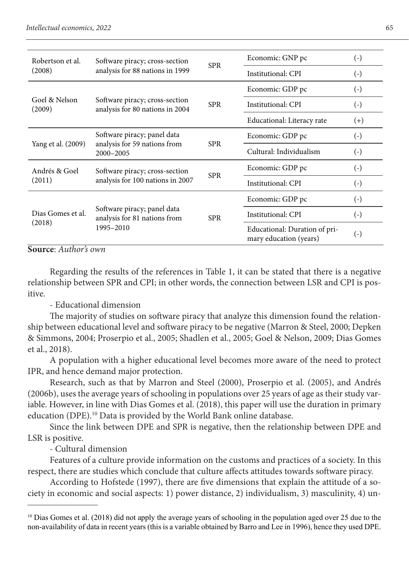| Robertson et al.        | Software piracy; cross-section                                    | <b>SPR</b> | Economic: GNP pc                                        | $(-)$             |
|-------------------------|-------------------------------------------------------------------|------------|---------------------------------------------------------|-------------------|
| (2008)                  | analysis for 88 nations in 1999                                   |            | Institutional: CPI                                      | $(-)$             |
|                         |                                                                   |            | Economic: GDP pc                                        | $\left( -\right)$ |
| Goel & Nelson<br>(2009) | Software piracy; cross-section<br>analysis for 80 nations in 2004 | <b>SPR</b> | Institutional: CPI                                      | $\left( -\right)$ |
|                         |                                                                   |            | Educational: Literacy rate                              | $(+)$             |
| Yang et al. (2009)      | Software piracy; panel data                                       |            | Economic: GDP pc                                        | $(-)$             |
|                         | analysis for 59 nations from<br>2000-2005                         | <b>SPR</b> | Cultural: Individualism                                 | $\left( -\right)$ |
| Andrés & Goel           | Software piracy; cross-section                                    |            | Economic: GDP pc                                        | $(-)$             |
| (2011)                  | analysis for 100 nations in 2007                                  | <b>SPR</b> | Institutional: CPI                                      | $(-)$             |
|                         |                                                                   |            | Economic: GDP pc                                        | $(-)$             |
| Dias Gomes et al.       | Software piracy; panel data<br>analysis for 81 nations from       | <b>SPR</b> | Institutional: CPI                                      | $(-)$             |
| (2018)                  | 1995-2010                                                         |            | Educational: Duration of pri-<br>mary education (years) | $(-)$             |

**Source**: *Author's own*

Regarding the results of the references in Table 1, it can be stated that there is a negative relationship between SPR and CPI; in other words, the connection between LSR and CPI is positive.

- Educational dimension

The majority of studies on software piracy that analyze this dimension found the relationship between educational level and software piracy to be negative (Marron & Steel, 2000; Depken & Simmons, 2004; Proserpio et al., 2005; Shadlen et al., 2005; Goel & Nelson, 2009; Dias Gomes et al., 2018).

A population with a higher educational level becomes more aware of the need to protect IPR, and hence demand major protection.

Research, such as that by Marron and Steel (2000), Proserpio et al. (2005), and Andrés (2006b), uses the average years of schooling in populations over 25 years of age as their study variable. However, in line with Dias Gomes et al. (2018), this paper will use the duration in primary education (DPE).<sup>10</sup> Data is provided by the World Bank online database.

Since the link between DPE and SPR is negative, then the relationship between DPE and LSR is positive.

- Cultural dimension

Features of a culture provide information on the customs and practices of a society. In this respect, there are studies which conclude that culture affects attitudes towards software piracy.

According to Hofstede (1997), there are five dimensions that explain the attitude of a society in economic and social aspects: 1) power distance, 2) individualism, 3) masculinity, 4) un-

<sup>&</sup>lt;sup>10</sup> Dias Gomes et al. (2018) did not apply the average years of schooling in the population aged over 25 due to the non-availability of data in recent years (this is a variable obtained by Barro and Lee in 1996), hence they used DPE.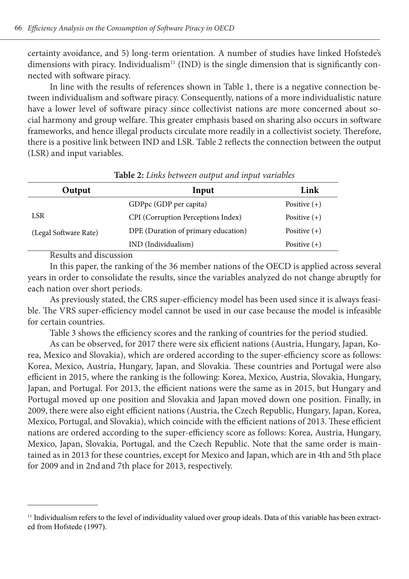certainty avoidance, and 5) long-term orientation. A number of studies have linked Hofstede's dimensions with piracy. Individualism<sup>11</sup> (IND) is the single dimension that is significantly connected with software piracy.

In line with the results of references shown in Table 1, there is a negative connection between individualism and software piracy. Consequently, nations of a more individualistic nature have a lower level of software piracy since collectivist nations are more concerned about social harmony and group welfare. This greater emphasis based on sharing also occurs in software frameworks, and hence illegal products circulate more readily in a collectivist society. Therefore, there is a positive link between IND and LSR. Table 2 reflects the connection between the output (LSR) and input variables.

| Output                | Input                               | Link           |
|-----------------------|-------------------------------------|----------------|
|                       | GDPpc (GDP per capita)              | Positive $(+)$ |
| LSR                   | CPI (Corruption Perceptions Index)  | Positive $(+)$ |
| (Legal Software Rate) | DPE (Duration of primary education) | Positive $(+)$ |
| $-$                   | IND (Individualism)                 | Positive $(+)$ |

**Table 2:** *Links between output and input variables*

Results and discussion

In this paper, the ranking of the 36 member nations of the OECD is applied across several years in order to consolidate the results, since the variables analyzed do not change abruptly for each nation over short periods.

As previously stated, the CRS super-efficiency model has been used since it is always feasible. The VRS super-efficiency model cannot be used in our case because the model is infeasible for certain countries.

Table 3 shows the efficiency scores and the ranking of countries for the period studied.

As can be observed, for 2017 there were six efficient nations (Austria, Hungary, Japan, Korea, Mexico and Slovakia), which are ordered according to the super-efficiency score as follows: Korea, Mexico, Austria, Hungary, Japan, and Slovakia. These countries and Portugal were also efficient in 2015, where the ranking is the following: Korea, Mexico, Austria, Slovakia, Hungary, Japan, and Portugal. For 2013, the efficient nations were the same as in 2015, but Hungary and Portugal moved up one position and Slovakia and Japan moved down one position. Finally, in 2009, there were also eight efficient nations (Austria, the Czech Republic, Hungary, Japan, Korea, Mexico, Portugal, and Slovakia), which coincide with the efficient nations of 2013. These efficient nations are ordered according to the super-efficiency score as follows: Korea, Austria, Hungary, Mexico, Japan, Slovakia, Portugal, and the Czech Republic. Note that the same order is maintained as in 2013 for these countries, except for Mexico and Japan, which are in 4th and 5th place for 2009 and in 2nd and 7th place for 2013, respectively.

<sup>&</sup>lt;sup>11</sup> Individualism refers to the level of individuality valued over group ideals. Data of this variable has been extracted from Hofstede (1997).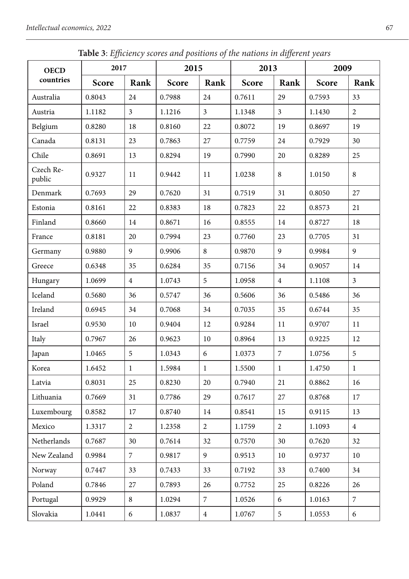| <b>OECD</b>         | <b>Twore</b> 5. Efficiency scores and positions of the nations in alfferent years<br>2017 |                         | 2015   |                | 2013   |                | 2009   |                |
|---------------------|-------------------------------------------------------------------------------------------|-------------------------|--------|----------------|--------|----------------|--------|----------------|
| countries           | Score                                                                                     | Rank                    | Score  | Rank           | Score  | Rank           | Score  | Rank           |
| Australia           | 0.8043                                                                                    | 24                      | 0.7988 | 24             | 0.7611 | 29             | 0.7593 | 33             |
| Austria             | 1.1182                                                                                    | $\overline{\mathbf{3}}$ | 1.1216 | $\mathfrak{Z}$ | 1.1348 | $\overline{3}$ | 1.1430 | $\overline{c}$ |
| Belgium             | 0.8280                                                                                    | 18                      | 0.8160 | 22             | 0.8072 | 19             | 0.8697 | 19             |
| Canada              | 0.8131                                                                                    | 23                      | 0.7863 | 27             | 0.7759 | 24             | 0.7929 | 30             |
| Chile               | 0.8691                                                                                    | 13                      | 0.8294 | 19             | 0.7990 | 20             | 0.8289 | 25             |
| Czech Re-<br>public | 0.9327                                                                                    | 11                      | 0.9442 | 11             | 1.0238 | 8              | 1.0150 | 8              |
| Denmark             | 0.7693                                                                                    | 29                      | 0.7620 | 31             | 0.7519 | 31             | 0.8050 | 27             |
| Estonia             | 0.8161                                                                                    | 22                      | 0.8383 | 18             | 0.7823 | 22             | 0.8573 | 21             |
| Finland             | 0.8660                                                                                    | 14                      | 0.8671 | 16             | 0.8555 | 14             | 0.8727 | 18             |
| France              | 0.8181                                                                                    | 20                      | 0.7994 | 23             | 0.7760 | 23             | 0.7705 | 31             |
| Germany             | 0.9880                                                                                    | 9                       | 0.9906 | 8              | 0.9870 | 9              | 0.9984 | 9              |
| Greece              | 0.6348                                                                                    | 35                      | 0.6284 | 35             | 0.7156 | 34             | 0.9057 | 14             |
| Hungary             | 1.0699                                                                                    | $\overline{4}$          | 1.0743 | 5              | 1.0958 | $\overline{4}$ | 1.1108 | 3              |
| Iceland             | 0.5680                                                                                    | 36                      | 0.5747 | 36             | 0.5606 | 36             | 0.5486 | 36             |
| Ireland             | 0.6945                                                                                    | 34                      | 0.7068 | 34             | 0.7035 | 35             | 0.6744 | 35             |
| Israel              | 0.9530                                                                                    | 10                      | 0.9404 | 12             | 0.9284 | 11             | 0.9707 | 11             |
| Italy               | 0.7967                                                                                    | 26                      | 0.9623 | 10             | 0.8964 | 13             | 0.9225 | 12             |
| Japan               | 1.0465                                                                                    | 5                       | 1.0343 | 6              | 1.0373 | $\overline{7}$ | 1.0756 | 5              |
| Korea               | 1.6452                                                                                    | $\mathbf{1}$            | 1.5984 | $\mathbf{1}$   | 1.5500 | $\mathbf{1}$   | 1.4750 | $\mathbf{1}$   |
| Latvia              | 0.8031                                                                                    | 25                      | 0.8230 | 20             | 0.7940 | 21             | 0.8862 | 16             |
| Lithuania           | 0.7669                                                                                    | 31                      | 0.7786 | 29             | 0.7617 | 27             | 0.8768 | 17             |
| Luxembourg          | 0.8582                                                                                    | 17                      | 0.8740 | 14             | 0.8541 | 15             | 0.9115 | 13             |
| Mexico              | 1.3317                                                                                    | $\overline{c}$          | 1.2358 | $\overline{2}$ | 1.1759 | $\overline{2}$ | 1.1093 | $\overline{4}$ |
| Netherlands         | 0.7687                                                                                    | 30                      | 0.7614 | 32             | 0.7570 | 30             | 0.7620 | 32             |
| New Zealand         | 0.9984                                                                                    | 7                       | 0.9817 | 9              | 0.9513 | 10             | 0.9737 | 10             |
| Norway              | 0.7447                                                                                    | 33                      | 0.7433 | 33             | 0.7192 | 33             | 0.7400 | 34             |
| Poland              | 0.7846                                                                                    | 27                      | 0.7893 | 26             | 0.7752 | 25             | 0.8226 | 26             |
| Portugal            | 0.9929                                                                                    | 8                       | 1.0294 | $\mathcal{I}$  | 1.0526 | 6              | 1.0163 | 7              |
| Slovakia            | 1.0441                                                                                    | 6                       | 1.0837 | $\overline{4}$ | 1.0767 | 5              | 1.0553 | 6              |

**Table 3**: *Efficiency scores and positions of the nations in different years*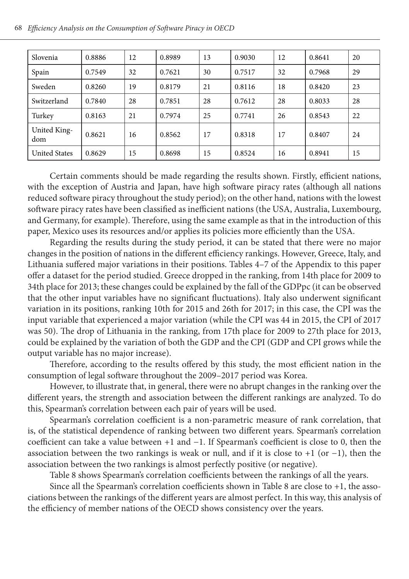| Slovenia             | 0.8886 | 12 | 0.8989 | 13 | 0.9030 | 12 | 0.8641 | 20 |
|----------------------|--------|----|--------|----|--------|----|--------|----|
| Spain                | 0.7549 | 32 | 0.7621 | 30 | 0.7517 | 32 | 0.7968 | 29 |
| Sweden               | 0.8260 | 19 | 0.8179 | 21 | 0.8116 | 18 | 0.8420 | 23 |
| Switzerland          | 0.7840 | 28 | 0.7851 | 28 | 0.7612 | 28 | 0.8033 | 28 |
| Turkey               | 0.8163 | 21 | 0.7974 | 25 | 0.7741 | 26 | 0.8543 | 22 |
| United King-<br>dom  | 0.8621 | 16 | 0.8562 | 17 | 0.8318 | 17 | 0.8407 | 24 |
| <b>United States</b> | 0.8629 | 15 | 0.8698 | 15 | 0.8524 | 16 | 0.8941 | 15 |

Certain comments should be made regarding the results shown. Firstly, efficient nations, with the exception of Austria and Japan, have high software piracy rates (although all nations reduced software piracy throughout the study period); on the other hand, nations with the lowest software piracy rates have been classified as inefficient nations (the USA, Australia, Luxembourg, and Germany, for example). Therefore, using the same example as that in the introduction of this paper, Mexico uses its resources and/or applies its policies more efficiently than the USA.

Regarding the results during the study period, it can be stated that there were no major changes in the position of nations in the different efficiency rankings. However, Greece, Italy, and Lithuania suffered major variations in their positions. Tables 4–7 of the Appendix to this paper offer a dataset for the period studied. Greece dropped in the ranking, from 14th place for 2009 to 34th place for 2013; these changes could be explained by the fall of the GDPpc (it can be observed that the other input variables have no significant fluctuations). Italy also underwent significant variation in its positions, ranking 10th for 2015 and 26th for 2017; in this case, the CPI was the input variable that experienced a major variation (while the CPI was 44 in 2015, the CPI of 2017 was 50). The drop of Lithuania in the ranking, from 17th place for 2009 to 27th place for 2013, could be explained by the variation of both the GDP and the CPI (GDP and CPI grows while the output variable has no major increase).

Therefore, according to the results offered by this study, the most efficient nation in the consumption of legal software throughout the 2009–2017 period was Korea.

However, to illustrate that, in general, there were no abrupt changes in the ranking over the different years, the strength and association between the different rankings are analyzed. To do this, Spearman's correlation between each pair of years will be used.

Spearman's correlation coefficient is a non-parametric measure of rank correlation, that is, of the statistical dependence of ranking between two different years. Spearman's correlation coefficient can take a value between +1 and −1. If Spearman's coefficient is close to 0, then the association between the two rankings is weak or null, and if it is close to +1 (or −1), then the association between the two rankings is almost perfectly positive (or negative).

Table 8 shows Spearman's correlation coefficients between the rankings of all the years.

Since all the Spearman's correlation coefficients shown in Table 8 are close to +1, the associations between the rankings of the different years are almost perfect. In this way, this analysis of the efficiency of member nations of the OECD shows consistency over the years.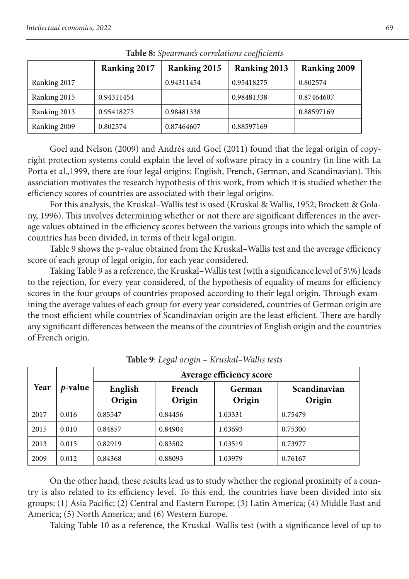| $\sim$ wore of op everified to it centro its to expect the |              |              |              |              |  |  |  |  |  |  |  |
|------------------------------------------------------------|--------------|--------------|--------------|--------------|--|--|--|--|--|--|--|
|                                                            | Ranking 2017 | Ranking 2015 | Ranking 2013 | Ranking 2009 |  |  |  |  |  |  |  |
| Ranking 2017                                               |              | 0.94311454   | 0.95418275   | 0.802574     |  |  |  |  |  |  |  |
| Ranking 2015                                               | 0.94311454   |              | 0.98481338   | 0.87464607   |  |  |  |  |  |  |  |
| Ranking 2013                                               | 0.95418275   | 0.98481338   |              | 0.88597169   |  |  |  |  |  |  |  |
| Ranking 2009                                               | 0.802574     | 0.87464607   | 0.88597169   |              |  |  |  |  |  |  |  |

**Table 8:** *Spearman's correlations coefficients*

Goel and Nelson (2009) and Andrés and Goel (2011) found that the legal origin of copyright protection systems could explain the level of software piracy in a country (in line with La Porta et al.,1999, there are four legal origins: English, French, German, and Scandinavian). This association motivates the research hypothesis of this work, from which it is studied whether the efficiency scores of countries are associated with their legal origins.

For this analysis, the Kruskal–Wallis test is used (Kruskal & Wallis, 1952; Brockett & Golany, 1996). This involves determining whether or not there are significant differences in the average values obtained in the efficiency scores between the various groups into which the sample of countries has been divided, in terms of their legal origin.

Table 9 shows the p-value obtained from the Kruskal–Wallis test and the average efficiency score of each group of legal origin, for each year considered.

Taking Table 9 as a reference, the Kruskal–Wallis test (with a significance level of 5\%) leads to the rejection, for every year considered, of the hypothesis of equality of means for efficiency scores in the four groups of countries proposed according to their legal origin. Through examining the average values of each group for every year considered, countries of German origin are the most efficient while countries of Scandinavian origin are the least efficient. There are hardly any significant differences between the means of the countries of English origin and the countries of French origin.

|      |                 | Average efficiency score |                  |                  |                        |  |  |  |  |
|------|-----------------|--------------------------|------------------|------------------|------------------------|--|--|--|--|
| Year | <i>p</i> -value | English<br>Origin        | French<br>Origin | German<br>Origin | Scandinavian<br>Origin |  |  |  |  |
| 2017 | 0.016           | 0.85547                  | 0.84456          | 1.03331          | 0.75479                |  |  |  |  |
| 2015 | 0.010           | 0.84857                  | 0.84904          | 1.03693          | 0.75300                |  |  |  |  |
| 2013 | 0.015           | 0.82919                  | 0.83502          | 1.03519          | 0.73977                |  |  |  |  |
| 2009 | 0.012           | 0.84368                  | 0.88093          | 1.03979          | 0.76167                |  |  |  |  |

**Table 9**: *Legal origin – Kruskal–Wallis tests*

On the other hand, these results lead us to study whether the regional proximity of a country is also related to its efficiency level. To this end, the countries have been divided into six groups: (1) Asia Pacific; (2) Central and Eastern Europe; (3) Latin America; (4) Middle East and America; (5) North America; and (6) Western Europe.

Taking Table 10 as a reference, the Kruskal–Wallis test (with a significance level of up to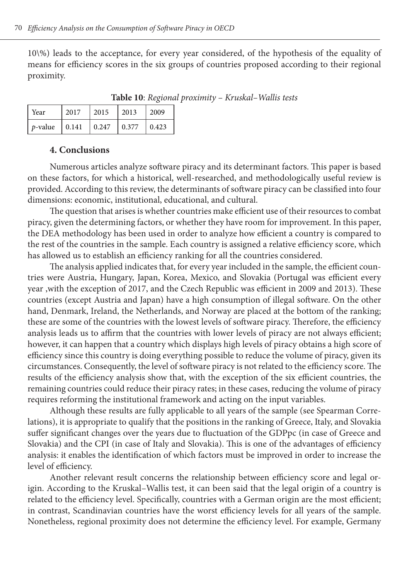10\%) leads to the acceptance, for every year considered, of the hypothesis of the equality of means for efficiency scores in the six groups of countries proposed according to their regional proximity.

**Table 10**: *Regional proximity – Kruskal–Wallis tests*

| Year            | 2017  | 2015  | 12013 | 12009 |
|-----------------|-------|-------|-------|-------|
| <i>p</i> -value | 0.141 | 0.247 | 0.377 | 0.423 |

#### **4. Conclusions**

Numerous articles analyze software piracy and its determinant factors. This paper is based on these factors, for which a historical, well-researched, and methodologically useful review is provided. According to this review, the determinants of software piracy can be classified into four dimensions: economic, institutional, educational, and cultural.

The question that arises is whether countries make efficient use of their resources to combat piracy, given the determining factors, or whether they have room for improvement. In this paper, the DEA methodology has been used in order to analyze how efficient a country is compared to the rest of the countries in the sample. Each country is assigned a relative efficiency score, which has allowed us to establish an efficiency ranking for all the countries considered.

The analysis applied indicates that, for every year included in the sample, the efficient countries were Austria, Hungary, Japan, Korea, Mexico, and Slovakia (Portugal was efficient every year ,with the exception of 2017, and the Czech Republic was efficient in 2009 and 2013). These countries (except Austria and Japan) have a high consumption of illegal software. On the other hand, Denmark, Ireland, the Netherlands, and Norway are placed at the bottom of the ranking; these are some of the countries with the lowest levels of software piracy. Therefore, the efficiency analysis leads us to affirm that the countries with lower levels of piracy are not always efficient; however, it can happen that a country which displays high levels of piracy obtains a high score of efficiency since this country is doing everything possible to reduce the volume of piracy, given its circumstances. Consequently, the level of software piracy is not related to the efficiency score. The results of the efficiency analysis show that, with the exception of the six efficient countries, the remaining countries could reduce their piracy rates; in these cases, reducing the volume of piracy requires reforming the institutional framework and acting on the input variables.

Although these results are fully applicable to all years of the sample (see Spearman Correlations), it is appropriate to qualify that the positions in the ranking of Greece, Italy, and Slovakia suffer significant changes over the years due to fluctuation of the GDPpc (in case of Greece and Slovakia) and the CPI (in case of Italy and Slovakia). This is one of the advantages of efficiency analysis: it enables the identification of which factors must be improved in order to increase the level of efficiency.

Another relevant result concerns the relationship between efficiency score and legal origin. According to the Kruskal–Wallis test, it can been said that the legal origin of a country is related to the efficiency level. Specifically, countries with a German origin are the most efficient; in contrast, Scandinavian countries have the worst efficiency levels for all years of the sample. Nonetheless, regional proximity does not determine the efficiency level. For example, Germany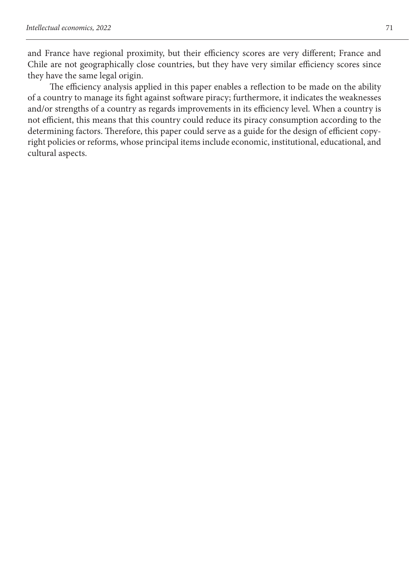and France have regional proximity, but their efficiency scores are very different; France and Chile are not geographically close countries, but they have very similar efficiency scores since they have the same legal origin.

The efficiency analysis applied in this paper enables a reflection to be made on the ability of a country to manage its fight against software piracy; furthermore, it indicates the weaknesses and/or strengths of a country as regards improvements in its efficiency level. When a country is not efficient, this means that this country could reduce its piracy consumption according to the determining factors. Therefore, this paper could serve as a guide for the design of efficient copyright policies or reforms, whose principal items include economic, institutional, educational, and cultural aspects.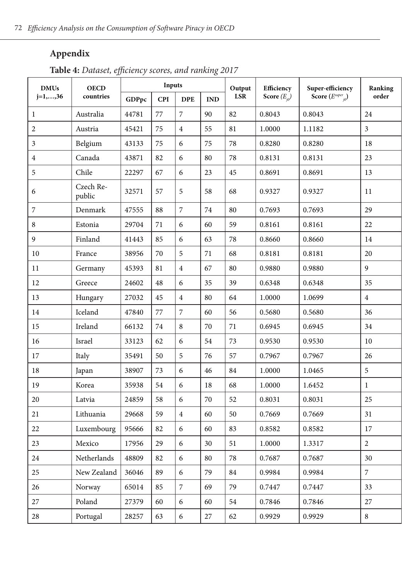## **Appendix**

**Table 4:** *Dataset, efficiency scores, and ranking 2017*

| <b>DMUs</b>    | <b>OECD</b>         |       | Inputs     |                |     | Output     | Efficiency       | Super-efficiency         | Ranking                 |
|----------------|---------------------|-------|------------|----------------|-----|------------|------------------|--------------------------|-------------------------|
| $j=1,,36$      | countries           | GDPpc | <b>CPI</b> | <b>DPE</b>     | IND | <b>LSR</b> | Score $(E_{i0})$ | Score $(E^{super}_{i0})$ | order                   |
| 1              | Australia           | 44781 | 77         | 7              | 90  | 82         | 0.8043           | 0.8043                   | 24                      |
| 2              | Austria             | 45421 | 75         | $\overline{4}$ | 55  | 81         | 1.0000           | 1.1182                   | $\overline{\mathbf{3}}$ |
| 3              | Belgium             | 43133 | 75         | 6              | 75  | 78         | 0.8280           | 0.8280                   | 18                      |
| $\overline{4}$ | Canada              | 43871 | 82         | 6              | 80  | 78         | 0.8131           | 0.8131                   | 23                      |
| 5              | Chile               | 22297 | 67         | 6              | 23  | 45         | 0.8691           | 0.8691                   | 13                      |
| 6              | Czech Re-<br>public | 32571 | 57         | 5              | 58  | 68         | 0.9327           | 0.9327                   | 11                      |
| 7              | Denmark             | 47555 | 88         | 7              | 74  | 80         | 0.7693           | 0.7693                   | 29                      |
| 8              | Estonia             | 29704 | 71         | 6              | 60  | 59         | 0.8161           | 0.8161                   | 22                      |
| 9              | Finland             | 41443 | 85         | 6              | 63  | 78         | 0.8660           | 0.8660                   | 14                      |
| 10             | France              | 38956 | 70         | 5              | 71  | 68         | 0.8181           | 0.8181                   | 20                      |
| 11             | Germany             | 45393 | 81         | $\overline{4}$ | 67  | 80         | 0.9880           | 0.9880                   | 9                       |
| 12             | Greece              | 24602 | 48         | 6              | 35  | 39         | 0.6348           | 0.6348                   | 35                      |
| 13             | Hungary             | 27032 | 45         | $\overline{4}$ | 80  | 64         | 1.0000           | 1.0699                   | $\overline{4}$          |
| 14             | Iceland             | 47840 | 77         | 7              | 60  | 56         | 0.5680           | 0.5680                   | 36                      |
| 15             | Ireland             | 66132 | 74         | 8              | 70  | 71         | 0.6945           | 0.6945                   | 34                      |
| 16             | Israel              | 33123 | 62         | 6              | 54  | 73         | 0.9530           | 0.9530                   | 10                      |
| 17             | Italy               | 35491 | 50         | 5              | 76  | 57         | 0.7967           | 0.7967                   | 26                      |
| $18\,$         | Japan               | 38907 | 73         | 6              | 46  | 84         | 1.0000           | 1.0465                   | 5                       |
| 19             | Korea               | 35938 | 54         | 6              | 18  | 68         | 1.0000           | 1.6452                   | $\mathbf{1}$            |
| 20             | Latvia              | 24859 | 58         | 6              | 70  | 52         | 0.8031           | 0.8031                   | 25                      |
| 21             | Lithuania           | 29668 | 59         | $\overline{4}$ | 60  | 50         | 0.7669           | 0.7669                   | 31                      |
| 22             | Luxembourg          | 95666 | 82         | 6              | 60  | 83         | 0.8582           | 0.8582                   | 17                      |
| 23             | Mexico              | 17956 | 29         | 6              | 30  | 51         | 1.0000           | 1.3317                   | $\overline{2}$          |
| 24             | Netherlands         | 48809 | 82         | 6              | 80  | 78         | 0.7687           | 0.7687                   | 30                      |
| 25             | New Zealand         | 36046 | 89         | 6              | 79  | 84         | 0.9984           | 0.9984                   | 7                       |
| 26             | Norway              | 65014 | 85         | $\overline{7}$ | 69  | 79         | 0.7447           | 0.7447                   | 33                      |
| 27             | Poland              | 27379 | 60         | 6              | 60  | 54         | 0.7846           | 0.7846                   | 27                      |
| 28             | Portugal            | 28257 | 63         | 6              | 27  | 62         | 0.9929           | 0.9929                   | $\,8\,$                 |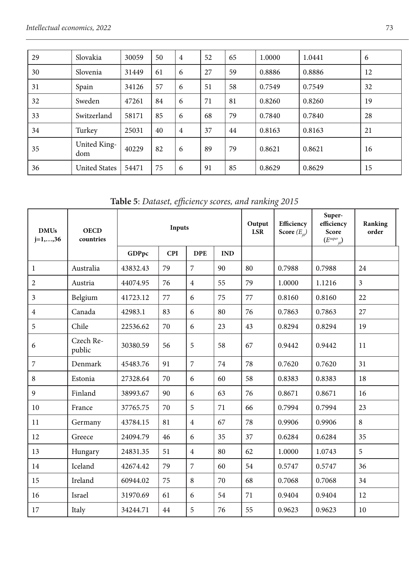| 29 | Slovakia             | 30059 | 50 | $\overline{4}$ | 52 | 65 | 1.0000 | 1.0441 | 6  |
|----|----------------------|-------|----|----------------|----|----|--------|--------|----|
| 30 | Slovenia             | 31449 | 61 | 6              | 27 | 59 | 0.8886 | 0.8886 | 12 |
| 31 | Spain                | 34126 | 57 | 6              | 51 | 58 | 0.7549 | 0.7549 | 32 |
| 32 | Sweden               | 47261 | 84 | 6              | 71 | 81 | 0.8260 | 0.8260 | 19 |
| 33 | Switzerland          | 58171 | 85 | 6              | 68 | 79 | 0.7840 | 0.7840 | 28 |
| 34 | Turkey               | 25031 | 40 | $\overline{4}$ | 37 | 44 | 0.8163 | 0.8163 | 21 |
| 35 | United King-<br>dom  | 40229 | 82 | 6              | 89 | 79 | 0.8621 | 0.8621 | 16 |
| 36 | <b>United States</b> | 54471 | 75 | 6              | 91 | 85 | 0.8629 | 0.8629 | 15 |

**Table 5**: *Dataset, efficiency scores, and ranking 2015*

| <b>DMUs</b><br>$j=1,,36$ | <b>OECD</b><br>countries |          | Inputs     |                |            | Output<br><b>LSR</b> | Efficiency<br>Score $(E_{i0})$ | Super-<br>efficiency<br>Score<br>$(E^{super})$ | Ranking<br>order |
|--------------------------|--------------------------|----------|------------|----------------|------------|----------------------|--------------------------------|------------------------------------------------|------------------|
|                          |                          | GDPpc    | <b>CPI</b> | <b>DPE</b>     | <b>IND</b> |                      |                                |                                                |                  |
| 1                        | Australia                | 43832.43 | 79         | 7              | 90         | 80                   | 0.7988                         | 0.7988                                         | 24               |
| $\overline{2}$           | Austria                  | 44074.95 | 76         | $\overline{4}$ | 55         | 79                   | 1.0000                         | 1.1216                                         | 3                |
| 3                        | Belgium                  | 41723.12 | 77         | 6              | 75         | 77                   | 0.8160                         | 0.8160                                         | 22               |
| $\overline{4}$           | Canada                   | 42983.1  | 83         | 6              | 80         | 76                   | 0.7863                         | 0.7863                                         | 27               |
| 5                        | Chile                    | 22536.62 | 70         | 6              | 23         | 43                   | 0.8294                         | 0.8294                                         | 19               |
| 6                        | Czech Re-<br>public      | 30380.59 | 56         | 5              | 58         | 67                   | 0.9442                         | 0.9442                                         | 11               |
| 7                        | Denmark                  | 45483.76 | 91         | 7              | 74         | 78                   | 0.7620                         | 0.7620                                         | 31               |
| 8                        | Estonia                  | 27328.64 | 70         | 6              | 60         | 58                   | 0.8383                         | 0.8383                                         | 18               |
| 9                        | Finland                  | 38993.67 | 90         | 6              | 63         | 76                   | 0.8671                         | 0.8671                                         | 16               |
| 10                       | France                   | 37765.75 | 70         | 5              | 71         | 66                   | 0.7994                         | 0.7994                                         | 23               |
| 11                       | Germany                  | 43784.15 | 81         | $\overline{4}$ | 67         | 78                   | 0.9906                         | 0.9906                                         | 8                |
| 12                       | Greece                   | 24094.79 | 46         | 6              | 35         | 37                   | 0.6284                         | 0.6284                                         | 35               |
| 13                       | Hungary                  | 24831.35 | 51         | $\overline{4}$ | 80         | 62                   | 1.0000                         | 1.0743                                         | 5                |
| 14                       | Iceland                  | 42674.42 | 79         | 7              | 60         | 54                   | 0.5747                         | 0.5747                                         | 36               |
| 15                       | Ireland                  | 60944.02 | 75         | 8              | 70         | 68                   | 0.7068                         | 0.7068                                         | 34               |
| 16                       | Israel                   | 31970.69 | 61         | 6              | 54         | 71                   | 0.9404                         | 0.9404                                         | 12               |
| 17                       | Italy                    | 34244.71 | 44         | 5              | 76         | 55                   | 0.9623                         | 0.9623                                         | 10               |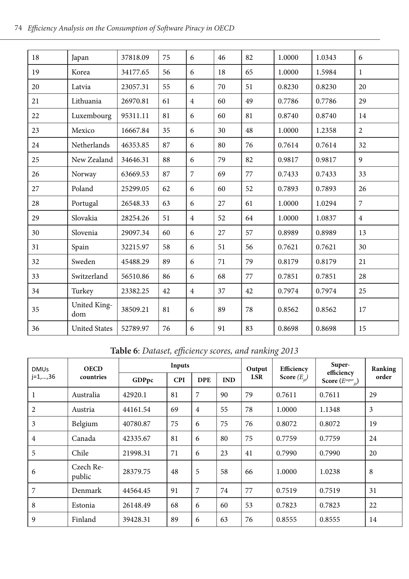| 18 | Japan                | 37818.09 | 75 | 6              | 46 | 82 | 1.0000 | 1.0343 | 6              |
|----|----------------------|----------|----|----------------|----|----|--------|--------|----------------|
| 19 | Korea                | 34177.65 | 56 | 6              | 18 | 65 | 1.0000 | 1.5984 | $\mathbf{1}$   |
| 20 | Latvia               | 23057.31 | 55 | 6              | 70 | 51 | 0.8230 | 0.8230 | 20             |
| 21 | Lithuania            | 26970.81 | 61 | $\overline{4}$ | 60 | 49 | 0.7786 | 0.7786 | 29             |
| 22 | Luxembourg           | 95311.11 | 81 | 6              | 60 | 81 | 0.8740 | 0.8740 | 14             |
| 23 | Mexico               | 16667.84 | 35 | 6              | 30 | 48 | 1.0000 | 1.2358 | $\overline{2}$ |
| 24 | Netherlands          | 46353.85 | 87 | 6              | 80 | 76 | 0.7614 | 0.7614 | 32             |
| 25 | New Zealand          | 34646.31 | 88 | 6              | 79 | 82 | 0.9817 | 0.9817 | 9              |
| 26 | Norway               | 63669.53 | 87 | $\overline{7}$ | 69 | 77 | 0.7433 | 0.7433 | 33             |
| 27 | Poland               | 25299.05 | 62 | 6              | 60 | 52 | 0.7893 | 0.7893 | 26             |
| 28 | Portugal             | 26548.33 | 63 | 6              | 27 | 61 | 1.0000 | 1.0294 | $\overline{7}$ |
| 29 | Slovakia             | 28254.26 | 51 | $\overline{4}$ | 52 | 64 | 1.0000 | 1.0837 | $\overline{4}$ |
| 30 | Slovenia             | 29097.34 | 60 | 6              | 27 | 57 | 0.8989 | 0.8989 | 13             |
| 31 | Spain                | 32215.97 | 58 | 6              | 51 | 56 | 0.7621 | 0.7621 | 30             |
| 32 | Sweden               | 45488.29 | 89 | 6              | 71 | 79 | 0.8179 | 0.8179 | 21             |
| 33 | Switzerland          | 56510.86 | 86 | 6              | 68 | 77 | 0.7851 | 0.7851 | 28             |
| 34 | Turkey               | 23382.25 | 42 | $\overline{4}$ | 37 | 42 | 0.7974 | 0.7974 | 25             |
| 35 | United King-<br>dom  | 38509.21 | 81 | 6              | 89 | 78 | 0.8562 | 0.8562 | 17             |
| 36 | <b>United States</b> | 52789.97 | 76 | 6              | 91 | 83 | 0.8698 | 0.8698 | 15             |

**Table 6**: *Dataset, efficiency scores, and ranking 2013*

| <b>DMUs</b>    | <b>OECD</b><br>countries |          | Inputs     |                |            | Output<br>LSR | Efficiency<br>Score $(E_{i0})$ | Super-<br>efficiency<br>Score $(E^{super}_{i0})$ | Ranking<br>order |
|----------------|--------------------------|----------|------------|----------------|------------|---------------|--------------------------------|--------------------------------------------------|------------------|
| $j=1,,36$      |                          | GDPpc    | <b>CPI</b> | <b>DPE</b>     | <b>IND</b> |               |                                |                                                  |                  |
| 1              | Australia                | 42920.1  | 81         | 7              | 90         | 79            | 0.7611                         | 0.7611                                           | 29               |
| $\overline{2}$ | Austria                  | 44161.54 | 69         | $\overline{4}$ | 55         | 78            | 1.0000                         | 1.1348                                           | 3                |
| 3              | Belgium                  | 40780.87 | 75         | 6              | 75         | 76            | 0.8072                         | 0.8072                                           | 19               |
| $\overline{4}$ | Canada                   | 42335.67 | 81         | 6              | 80         | 75            | 0.7759                         | 0.7759                                           | 24               |
| 5              | Chile                    | 21998.31 | 71         | 6              | 23         | 41            | 0.7990                         | 0.7990                                           | 20               |
| 6              | Czech Re-<br>public      | 28379.75 | 48         | 5              | 58         | 66            | 1.0000                         | 1.0238                                           | 8                |
| 7              | Denmark                  | 44564.45 | 91         | 7              | 74         | 77            | 0.7519                         | 0.7519                                           | 31               |
| 8              | Estonia                  | 26148.49 | 68         | 6              | 60         | 53            | 0.7823                         | 0.7823                                           | 22               |
| 9              | Finland                  | 39428.31 | 89         | 6              | 63         | 76            | 0.8555                         | 0.8555                                           | 14               |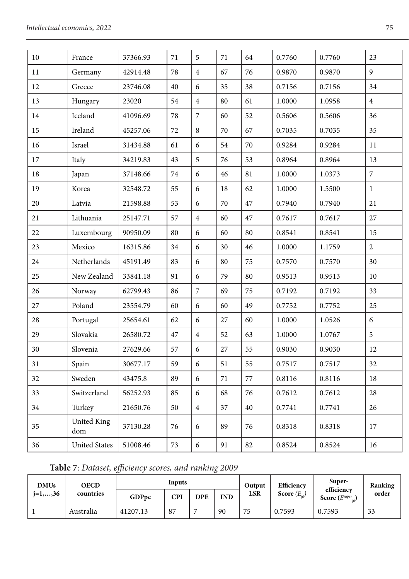| 10 | France               | 37366.93 | 71 | 5              | 71 | 64 | 0.7760 | 0.7760 | 23             |
|----|----------------------|----------|----|----------------|----|----|--------|--------|----------------|
| 11 | Germany              | 42914.48 | 78 | $\overline{4}$ | 67 | 76 | 0.9870 | 0.9870 | 9              |
| 12 | Greece               | 23746.08 | 40 | $\epsilon$     | 35 | 38 | 0.7156 | 0.7156 | 34             |
| 13 | Hungary              | 23020    | 54 | $\sqrt{4}$     | 80 | 61 | 1.0000 | 1.0958 | $\overline{4}$ |
| 14 | Iceland              | 41096.69 | 78 | $\overline{7}$ | 60 | 52 | 0.5606 | 0.5606 | 36             |
| 15 | Ireland              | 45257.06 | 72 | $\,8\,$        | 70 | 67 | 0.7035 | 0.7035 | 35             |
| 16 | Israel               | 31434.88 | 61 | 6              | 54 | 70 | 0.9284 | 0.9284 | 11             |
| 17 | Italy                | 34219.83 | 43 | 5              | 76 | 53 | 0.8964 | 0.8964 | 13             |
| 18 | Japan                | 37148.66 | 74 | 6              | 46 | 81 | 1.0000 | 1.0373 | $\overline{7}$ |
| 19 | Korea                | 32548.72 | 55 | 6              | 18 | 62 | 1.0000 | 1.5500 | $\mathbf{1}$   |
| 20 | Latvia               | 21598.88 | 53 | 6              | 70 | 47 | 0.7940 | 0.7940 | 21             |
| 21 | Lithuania            | 25147.71 | 57 | $\overline{4}$ | 60 | 47 | 0.7617 | 0.7617 | 27             |
| 22 | Luxembourg           | 90950.09 | 80 | 6              | 60 | 80 | 0.8541 | 0.8541 | 15             |
| 23 | Mexico               | 16315.86 | 34 | 6              | 30 | 46 | 1.0000 | 1.1759 | $\overline{2}$ |
| 24 | Netherlands          | 45191.49 | 83 | 6              | 80 | 75 | 0.7570 | 0.7570 | 30             |
| 25 | New Zealand          | 33841.18 | 91 | 6              | 79 | 80 | 0.9513 | 0.9513 | 10             |
| 26 | Norway               | 62799.43 | 86 | $\overline{7}$ | 69 | 75 | 0.7192 | 0.7192 | 33             |
| 27 | Poland               | 23554.79 | 60 | 6              | 60 | 49 | 0.7752 | 0.7752 | 25             |
| 28 | Portugal             | 25654.61 | 62 | 6              | 27 | 60 | 1.0000 | 1.0526 | 6              |
| 29 | Slovakia             | 26580.72 | 47 | $\sqrt{4}$     | 52 | 63 | 1.0000 | 1.0767 | 5              |
| 30 | Slovenia             | 27629.66 | 57 | 6              | 27 | 55 | 0.9030 | 0.9030 | 12             |
| 31 | Spain                | 30677.17 | 59 | 6              | 51 | 55 | 0.7517 | 0.7517 | 32             |
| 32 | Sweden               | 43475.8  | 89 | 6              | 71 | 77 | 0.8116 | 0.8116 | 18             |
| 33 | Switzerland          | 56252.93 | 85 | 6              | 68 | 76 | 0.7612 | 0.7612 | 28             |
| 34 | Turkey               | 21650.76 | 50 | $\sqrt{4}$     | 37 | 40 | 0.7741 | 0.7741 | 26             |
| 35 | United King-<br>dom  | 37130.28 | 76 | 6              | 89 | 76 | 0.8318 | 0.8318 | 17             |
| 36 | <b>United States</b> | 51008.46 | 73 | $\epsilon$     | 91 | 82 | 0.8524 | 0.8524 | 16             |
|    |                      |          |    |                |    |    |        |        |                |

|  |  | Table 7: Dataset, efficiency scores, and ranking 2009 |
|--|--|-------------------------------------------------------|
|--|--|-------------------------------------------------------|

| <b>DMUs</b><br>$i=1,,36$ | OECD<br>countries |          | Inputs |            |     | Output<br>LSR | Efficiency<br>Score $(E_{\omega})$ | Super-<br>efficiency<br>Score (Esuper | Ranking<br>order |
|--------------------------|-------------------|----------|--------|------------|-----|---------------|------------------------------------|---------------------------------------|------------------|
|                          |                   | GDPpc    | CPI    | <b>DPE</b> | IND |               |                                    |                                       |                  |
|                          | Australia         | 41207.13 | 87     |            | 90  | 75            | 0.7593                             | 0.7593                                | 33               |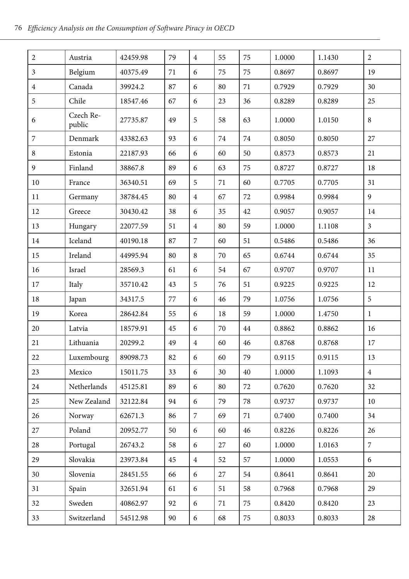| $\sqrt{2}$     | Austria             | 42459.98 | 79 | $\overline{4}$ | 55 | 75 | 1.0000 | 1.1430 | $\overline{c}$ |
|----------------|---------------------|----------|----|----------------|----|----|--------|--------|----------------|
| 3              | Belgium             | 40375.49 | 71 | 6              | 75 | 75 | 0.8697 | 0.8697 | 19             |
| $\overline{4}$ | Canada              | 39924.2  | 87 | 6              | 80 | 71 | 0.7929 | 0.7929 | 30             |
| 5              | Chile               | 18547.46 | 67 | 6              | 23 | 36 | 0.8289 | 0.8289 | 25             |
| 6              | Czech Re-<br>public | 27735.87 | 49 | 5              | 58 | 63 | 1.0000 | 1.0150 | 8              |
| 7              | Denmark             | 43382.63 | 93 | 6              | 74 | 74 | 0.8050 | 0.8050 | 27             |
| 8              | Estonia             | 22187.93 | 66 | 6              | 60 | 50 | 0.8573 | 0.8573 | 21             |
| 9              | Finland             | 38867.8  | 89 | 6              | 63 | 75 | 0.8727 | 0.8727 | 18             |
| 10             | France              | 36340.51 | 69 | 5              | 71 | 60 | 0.7705 | 0.7705 | 31             |
| 11             | Germany             | 38784.45 | 80 | $\overline{4}$ | 67 | 72 | 0.9984 | 0.9984 | 9              |
| 12             | Greece              | 30430.42 | 38 | 6              | 35 | 42 | 0.9057 | 0.9057 | 14             |
| 13             | Hungary             | 22077.59 | 51 | $\overline{4}$ | 80 | 59 | 1.0000 | 1.1108 | $\mathfrak{Z}$ |
| 14             | Iceland             | 40190.18 | 87 | 7              | 60 | 51 | 0.5486 | 0.5486 | 36             |
| 15             | Ireland             | 44995.94 | 80 | 8              | 70 | 65 | 0.6744 | 0.6744 | 35             |
| 16             | Israel              | 28569.3  | 61 | 6              | 54 | 67 | 0.9707 | 0.9707 | 11             |
| 17             | Italy               | 35710.42 | 43 | 5              | 76 | 51 | 0.9225 | 0.9225 | 12             |
| 18             | Japan               | 34317.5  | 77 | 6              | 46 | 79 | 1.0756 | 1.0756 | 5              |
| 19             | Korea               | 28642.84 | 55 | 6              | 18 | 59 | 1.0000 | 1.4750 | $\mathbf{1}$   |
| 20             | Latvia              | 18579.91 | 45 | 6              | 70 | 44 | 0.8862 | 0.8862 | 16             |
| 21             | Lithuania           | 20299.2  | 49 | $\overline{4}$ | 60 | 46 | 0.8768 | 0.8768 | 17             |
| 22             | Luxembourg          | 89098.73 | 82 | 6              | 60 | 79 | 0.9115 | 0.9115 | 13             |
| 23             | Mexico              | 15011.75 | 33 | 6              | 30 | 40 | 1.0000 | 1.1093 | $\overline{4}$ |
| 24             | Netherlands         | 45125.81 | 89 | 6              | 80 | 72 | 0.7620 | 0.7620 | 32             |
| 25             | New Zealand         | 32122.84 | 94 | 6              | 79 | 78 | 0.9737 | 0.9737 | 10             |
| 26             | Norway              | 62671.3  | 86 | $\overline{7}$ | 69 | 71 | 0.7400 | 0.7400 | 34             |
| 27             | Poland              | 20952.77 | 50 | 6              | 60 | 46 | 0.8226 | 0.8226 | 26             |
| 28             | Portugal            | 26743.2  | 58 | 6              | 27 | 60 | 1.0000 | 1.0163 | $\overline{7}$ |
| 29             | Slovakia            | 23973.84 | 45 | $\overline{4}$ | 52 | 57 | 1.0000 | 1.0553 | 6              |
| 30             | Slovenia            | 28451.55 | 66 | 6              | 27 | 54 | 0.8641 | 0.8641 | 20             |
| 31             | Spain               | 32651.94 | 61 | 6              | 51 | 58 | 0.7968 | 0.7968 | 29             |
| 32             | Sweden              | 40862.97 | 92 | 6              | 71 | 75 | 0.8420 | 0.8420 | 23             |
| 33             | Switzerland         | 54512.98 | 90 | 6              | 68 | 75 | 0.8033 | 0.8033 | 28             |
|                |                     |          |    |                |    |    |        |        |                |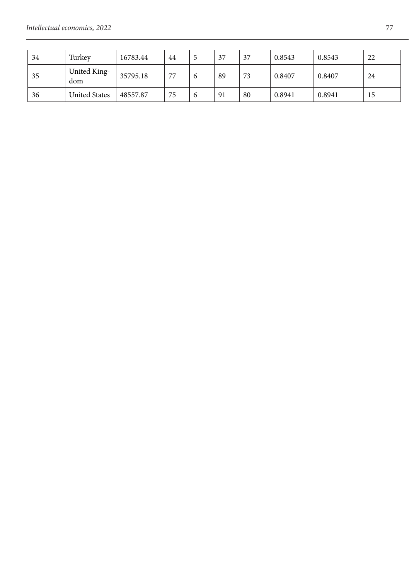| 34 | Turkey               | 16783.44 | 44 |          | 37 | 37 | 0.8543 | 0.8543 | 22 |
|----|----------------------|----------|----|----------|----|----|--------|--------|----|
| 35 | United King-<br>dom  | 35795.18 | 77 | $\sigma$ | 89 | 73 | 0.8407 | 0.8407 | 24 |
| 36 | <b>United States</b> | 48557.87 | 75 | o        | 91 | 80 | 0.8941 | 0.8941 | 15 |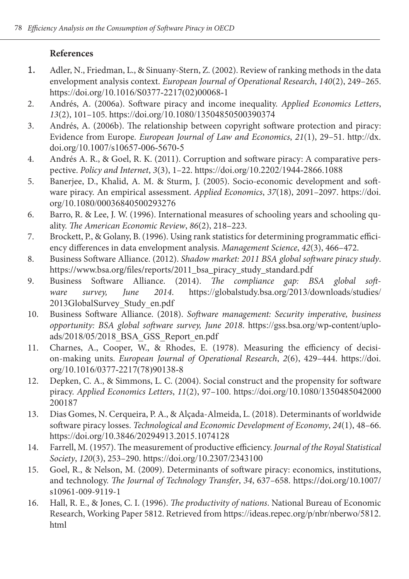## **References**

- 1. Adler, N., Friedman, L., & Sinuany-Stern, Z. (2002). Review of ranking methods in the data envelopment analysis context. *European Journal of Operational Research*, *140*(2), 249–265. https://doi.org/10.1016/S0377-2217(02)00068-1
- 2. Andrés, A. (2006a). Software piracy and income inequality. *Applied Economics Letters*, *13*(2), 101–105. https://doi.org/10.1080/13504850500390374
- 3. Andrés, A. (2006b). The relationship between copyright software protection and piracy: Evidence from Europe. *European Journal of Law and Economics*, *21*(1), 29–51. http://dx. doi.org/10.1007/s10657-006-5670-5
- 4. Andrés A. R., & Goel, R. K. (2011). Corruption and software piracy: A comparative perspective. *Policy and Internet*, *3*(3), 1–22. https://doi.org/10.2202/1944-2866.1088
- 5. Banerjee, D., Khalid, A. M. & Sturm, J. (2005). Socio-economic development and software piracy. An empirical assessment. *Applied Economics*, *37*(18), 2091–2097. https://doi. org/10.1080/00036840500293276
- 6. Barro, R. & Lee, J. W. (1996). International measures of schooling years and schooling quality. *The American Economic Review*, *86*(2), 218–223.
- 7. Brockett, P., & Golany, B. (1996). Using rank statistics for determining programmatic efficiency differences in data envelopment analysis. *Management Science*, *42*(3), 466–472.
- 8. Business Software Alliance. (2012). *Shadow market: 2011 BSA global software piracy study*. https://www.bsa.org/files/reports/2011\_bsa\_piracy\_study\_standard.pdf<br>Business Software Alliance. (2014). The compliance gap: B.
- 9. Business Software Alliance. (2014). *The compliance gap: BSA global software survey, June 2014*. https://globalstudy.bsa.org/2013/downloads/studies/ 2013GlobalSurvey\_Study\_en.pdf
- 10. Business Software Alliance. (2018). *Software management: Security imperative, business opportunity: BSA global software survey, June 2018*. https://gss.bsa.org/wp-content/uploads/2018/05/2018\_BSA\_GSS\_Report\_en.pdf
- 11. Charnes, A., Cooper, W., & Rhodes, E. (1978). Measuring the efficiency of decision-making units. *European Journal of Operational Research*, *2*(6), 429–444. https://doi. org/10.1016/0377-2217(78)90138-8
- 12. Depken, C. A., & Simmons, L. C. (2004). Social construct and the propensity for software piracy. *Applied Economics Letters*, *11*(2), 97–100. https://doi.org/10.1080/1350485042000 200187
- 13. Dias Gomes, N. Cerqueira, P. A., & Alçada-Almeida, L. (2018). Determinants of worldwide software piracy losses. *Technological and Economic Development of Economy*, *24*(1), 48–66. https://doi.org/10.3846/20294913.2015.1074128
- 14. Farrell, M. (1957). The measurement of productive efficiency. *Journal of the Royal Statistical Society*, *120*(3), 253–290. https://doi.org/10.2307/2343100
- 15. Goel, R., & Nelson, M. (2009). Determinants of software piracy: economics, institutions, and technology. *The Journal of Technology Transfer*, *34*, 637–658. https://doi.org/10.1007/ s10961-009-9119-1
- 16. Hall, R. E., & Jones, C. I. (1996). *The productivity of nations*. National Bureau of Economic Research, Working Paper 5812. Retrieved from https://ideas.repec.org/p/nbr/nberwo/5812. html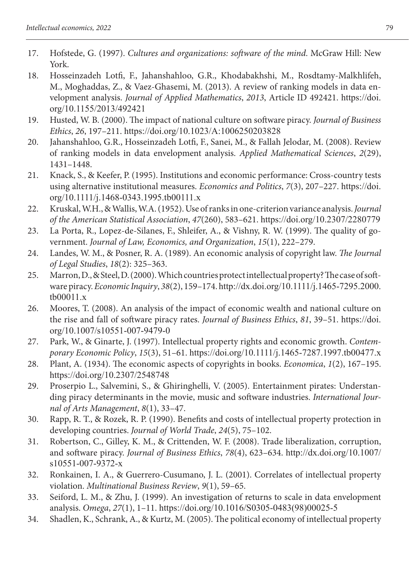- 17. Hofstede, G. (1997). *Cultures and organizations: software of the mind*. McGraw Hill: New York.
- 18. Hosseinzadeh Lotfi, F., Jahanshahloo, G.R., Khodabakhshi, M., Rosdtamy-Malkhlifeh, M., Moghaddas, Z., & Vaez-Ghasemi, M. (2013). A review of ranking models in data envelopment analysis. *Journal of Applied Mathematics*, *2013*, Article ID 492421. https://doi. org/10.1155/2013/492421
- 19. Husted, W. B. (2000). The impact of national culture on software piracy. *Journal of Business Ethics*, *26*, 197–211. https://doi.org/10.1023/A:1006250203828
- 20. Jahanshahloo, G.R., Hosseinzadeh Lotfi, F., Sanei, M., & Fallah Jelodar, M. (2008). Review of ranking models in data envelopment analysis. *Applied Mathematical Sciences*, *2*(29), 1431–1448.
- 21. Knack, S., & Keefer, P. (1995). Institutions and economic performance: Cross-country tests using alternative institutional measures. *Economics and Politics*, *7*(3), 207–227. https://doi. org/10.1111/j.1468-0343.1995.tb00111.x
- 22. Kruskal, W.H., & Wallis, W.A. (1952). Use of ranks in one-criterion variance analysis. *Journal of the American Statistical Association*, *47*(260), 583–621. https://doi.org/10.2307/2280779
- 23. La Porta, R., Lopez-de-Silanes, F., Shleifer, A., & Vishny, R. W. (1999). The quality of government. *Journal of Law, Economics, and Organization*, *15*(1), 222–279.
- 24. Landes, W. M., & Posner, R. A. (1989). An economic analysis of copyright law. *The Journal of Legal Studies*, *18*(2): 325–363.
- 25. Marron, D., & Steel, D. (2000). Which countries protect intellectual property? The case of software piracy. *Economic Inquiry*, *38*(2), 159–174. http://dx.doi.org/10.1111/j.1465-7295.2000. tb00011.x
- 26. Moores, T. (2008). An analysis of the impact of economic wealth and national culture on the rise and fall of software piracy rates. *Journal of Business Ethics*, *81*, 39–51. https://doi. org/10.1007/s10551-007-9479-0
- 27. Park, W., & Ginarte, J. (1997). Intellectual property rights and economic growth. *Contemporary Economic Policy*, *15*(3), 51–61. https://doi.org/10.1111/j.1465-7287.1997.tb00477.x
- 28. Plant, A. (1934). The economic aspects of copyrights in books. *Economica*, *1*(2), 167–195. https://doi.org/10.2307/2548748
- 29. Proserpio L., Salvemini, S., & Ghiringhelli, V. (2005). Entertainment pirates: Understanding piracy determinants in the movie, music and software industries. *International Journal of Arts Management*, *8*(1), 33–47.
- 30. Rapp, R. T., & Rozek, R. P. (1990). Benefits and costs of intellectual property protection in developing countries. *Journal of World Trade*, *24*(5), 75–102.
- 31. Robertson, C., Gilley, K. M., & Crittenden, W. F. (2008). Trade liberalization, corruption, and software piracy. *Journal of Business Ethics*, *78*(4), 623–634. http://dx.doi.org/10.1007/ s10551-007-9372-x
- 32. Ronkainen, I. A., & Guerrero-Cusumano, J. L. (2001). Correlates of intellectual property violation. *Multinational Business Review*, *9*(1), 59–65.
- 33. Seiford, L. M., & Zhu, J. (1999). An investigation of returns to scale in data envelopment analysis. *Omega*, *27*(1), 1–11. https://doi.org/10.1016/S0305-0483(98)00025-5
- 34. Shadlen, K., Schrank, A., & Kurtz, M. (2005). The political economy of intellectual property